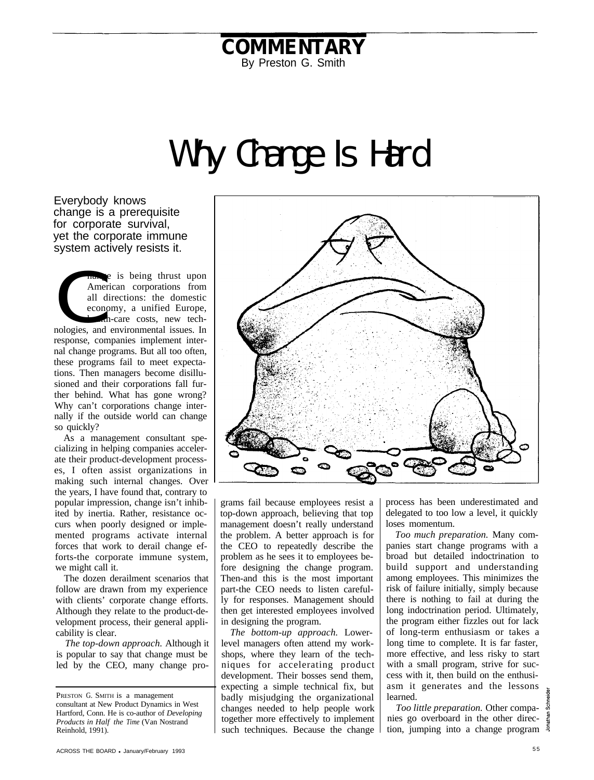## **COMMENTARY** By Preston G. Smith

## Why Change Is Hard

Everybody knows change is a prerequisite for corporate survival, yet the corporate immune system actively resists it.

system<br>Conclosies hange is being thrust upon American corporations from all directions: the domestic economy, a unified Europe, health-care costs, new technologies, and environmental issues. In response, companies implement internal change programs. But all too often, these programs fail to meet expectations. Then managers become disillusioned and their corporations fall further behind. What has gone wrong? Why can't corporations change internally if the outside world can change so quickly?

As a management consultant specializing in helping companies accelerate their product-development processes, I often assist organizations in making such internal changes. Over the years, I have found that, contrary to popular impression, change isn't inhibited by inertia. Rather, resistance occurs when poorly designed or implemented programs activate internal forces that work to derail change efforts-the corporate immune system, we might call it.

The dozen derailment scenarios that follow are drawn from my experience with clients' corporate change efforts. Although they relate to the product-development process, their general applicability is clear.

*The top-down approach.* Although it is popular to say that change must be led by the CEO, many change pro-



grams fail because employees resist a top-down approach, believing that top management doesn't really understand the problem. A better approach is for the CEO to repeatedly describe the problem as he sees it to employees before designing the change program. Then-and this is the most important part-the CEO needs to listen carefully for responses. Management should then get interested employees involved in designing the program.

*The bottom-up approach.* Lowerlevel managers often attend my workshops, where they learn of the techniques for accelerating product development. Their bosses send them, expecting a simple technical fix, but badly misjudging the organizational changes needed to help people work together more effectively to implement such techniques. Because the change process has been underestimated and delegated to too low a level, it quickly loses momentum.

*Too much preparation.* Many companies start change programs with a broad but detailed indoctrination to build support and understanding among employees. This minimizes the risk of failure initially, simply because there is nothing to fail at during the long indoctrination period. Ultimately, the program either fizzles out for lack of long-term enthusiasm or takes a long time to complete. It is far faster, more effective, and less risky to start with a small program, strive for success with it, then build on the enthusiasm it generates and the lessons learned.

*Too little preparation.* Other companies go overboard in the other direction, jumping into a change program

PRESTON G. SMITH is a management consultant at New Product Dynamics in West Hartford, Conn. He is co-author of *Developing Products in Half the Time* (Van Nostrand Reinhold, 1991).